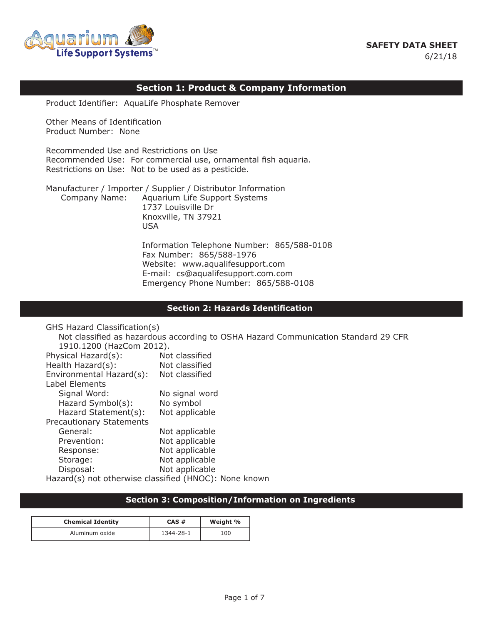# **SAFETY DATA SHEET** 6/21/18



# **Section 1: Product & Company Information**

 Product Identifier: AquaLife Phosphate Remover

 Other Means of Identification Product Number: None

 Recommended Use and Restrictions on Use Recommended Use: For commercial use, ornamental fish aquaria. Restrictions on Use: Not to be used as a pesticide.

 Manufacturer / Importer / Supplier / Distributor Information Company Name: Aquarium Life Support Systems 1737 Louisville Dr Knoxville, TN 37921 usa di kacamatan ing Kabupatèn Kabupatèn Kabupatèn Kabupatèn Kabupatèn Kabupatèn Kabupatèn Kabupatèn Kabupatèn

> Information Telephone Number: 865/588-0108 Fax Number: 865/588-1976 Website: www.aqualifesupport.com E-mail: cs@aqualifesupport.com.com Emergency Phone Number: 865/588-0108

### **Section 2: Hazards Identification**

 GHS Hazard Classification(s) Not classified as hazardous according to OSHA Hazard Communication Standard 29 CFR 1910.1200 (HazCom 2012). Physical Hazard(s): Not classified Health Hazard(s): Not classified Environmental Hazard(s): Not classified Label Elements Signal Word: No signal word Hazard Symbol(s): No symbol Hazard Statement(s): Not applicable Precautionary Statements General: Not applicable Prevention: Not applicable Response: Not applicable Storage: Not applicable Disposal: Not applicable Hazard(s) not otherwise classified (HNOC): None known

## **Section 3: Composition/Information on Ingredients**

| <b>Chemical Identity</b> | CAS#      | Weight % |
|--------------------------|-----------|----------|
| Aluminum oxide           | 1344-28-1 | 100      |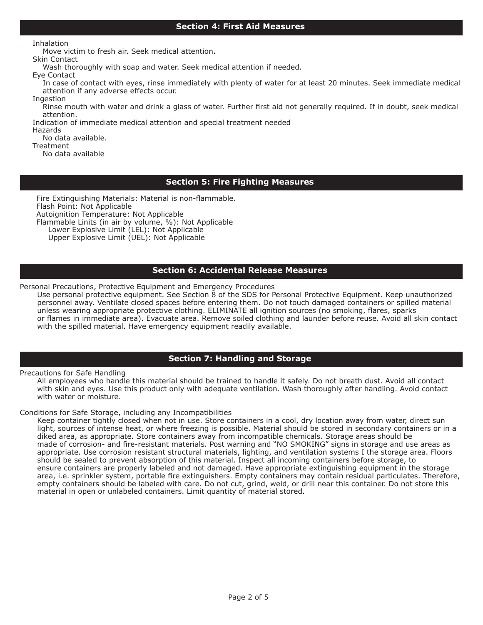## **Section 4: First Aid Measures**

 Inhalation

 Move victim to fresh air. Seek medical attention.

 Skin Contact

 Wash thoroughly with soap and water. Seek medical attention if needed.

 Eye Contact

 In case of contact with eyes, rinse immediately with plenty of water for at least 20 minutes. Seek immediate medical attention if any adverse effects occur.

 Ingestion Rinse mouth with water and drink a glass of water. Further first aid not generally required. If in doubt, seek medical attention. 

 Indication of immediate medical attention and special treatment needed

 Hazards No data available.

**Treatment** 

 No data available

# **Section 5: Fire Fighting Measures**

 Fire Extinguishing Materials: Material is non-flammable. Flash Point: Not Applicable Autoignition Temperature: Not Applicable Flammable Linits (in air by volume, %): Not Applicable Lower Explosive Limit (LEL): Not Applicable Upper Explosive Limit (UEL): Not Applicable

## **Section 6: Accidental Release Measures**

Personal Precautions, Protective Equipment and Emergency Procedures

 Use personal protective equipment. See Section 8 of the SDS for Personal Protective Equipment. Keep unauthorized personnel away. Ventilate closed spaces before entering them. Do not touch damaged containers or spilled material unless wearing appropriate protective clothing. ELIMINATE all ignition sources (no smoking, flares, sparks or flames in immediate area). Evacuate area. Remove soiled clothing and launder before reuse. Avoid all skin contact with the spilled material. Have emergency equipment readily available.

## **Section 7: Handling and Storage**

Precautions for Safe Handling

 All employees who handle this material should be trained to handle it safely. Do not breath dust. Avoid all contact with skin and eyes. Use this product only with adequate ventilation. Wash thoroughly after handling. Avoid contact with water or moisture.

### Conditions for Safe Storage, including any Incompatibilities

 Keep container tightly closed when not in use. Store containers in a cool, dry location away from water, direct sun light, sources of intense heat, or where freezing is possible. Material should be stored in secondary containers or in a diked area, as appropriate. Store containers away from incompatible chemicals. Storage areas should be made of corrosion- and fire-resistant materials. Post warning and "NO SMOKING" signs in storage and use areas as appropriate. Use corrosion resistant structural materials, lighting, and ventilation systems I the storage area. Floors should be sealed to prevent absorption of this material. Inspect all incoming containers before storage, to ensure containers are properly labeled and not damaged. Have appropriate extinguishing equipment in the storage area, i.e. sprinkler system, portable fire extinguishers. Empty containers may contain residual particulates. Therefore, empty containers should be labeled with care. Do not cut, grind, weld, or drill near this container. Do not store this material in open or unlabeled containers. Limit quantity of material stored.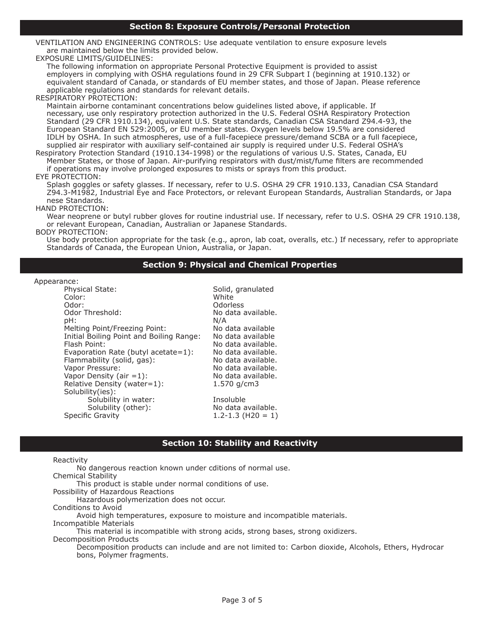VENTILATION AND ENGINEERING CONTROLS: Use adequate ventilation to ensure exposure levels are maintained below the limits provided below.

### EXPOSURE LIMITS/GUIDELINES:

 The following information on appropriate Personal Protective Equipment is provided to assist employers in complying with OSHA regulations found in 29 CFR Subpart I (beginning at 1910.132) or equivalent standard of Canada, or standards of EU member states, and those of Japan. Please reference applicable regulations and standards for relevant details.

#### RESPIRATORY PROTECTION:

 Maintain airborne contaminant concentrations below guidelines listed above, if applicable. If necessary, use only respiratory protection authorized in the U.S. Federal OSHA Respiratory Protection Standard (29 CFR 1910.134), equivalent U.S. State standards, Canadian CSA Standard Z94.4-93, the European Standard EN 529:2005, or EU member states. Oxygen levels below 19.5% are considered IDLH by OSHA. In such atmospheres, use of a full-facepiece pressure/demand SCBA or a full facepiece, supplied air respirator with auxiliary self-contained air supply is required under U.S. Federal OSHA's

 Respiratory Protection Standard (1910.134-1998) or the regulations of various U.S. States, Canada, EU Member States, or those of Japan. Air-purifying respirators with dust/mist/fume filters are recommended if operations may involve prolonged exposures to mists or sprays from this product.

### EYE PROTECTION:

 Splash goggles or safety glasses. If necessary, refer to U.S. OSHA 29 CFR 1910.133, Canadian CSA Standard Z94.3-M1982, Industrial Eye and Face Protectors, or relevant European Standards, Australian Standards, or Japa nese Standards.

#### HAND PROTECTION:

Wear neoprene or butyl rubber gloves for routine industrial use. If necessary, refer to U.S. OSHA 29 CFR 1910.138, or relevant European, Canadian, Australian or Japanese Standards.

#### BODY PROTECTION:

 Use body protection appropriate for the task (e.g., apron, lab coat, overalls, etc.) If necessary, refer to appropriate Standards of Canada, the European Union, Australia, or Japan.

### **Section 9: Physical and Chemical Properties**

#### Appearance:

| Physical State:<br>Color:<br>Odor:<br>Odor Threshold:<br>pH:<br>Melting Point/Freezing Point:<br>Initial Boiling Point and Boiling Range:<br>Flash Point:<br>Evaporation Rate (butyl acetate=1):<br>Flammability (solid, gas):<br>Vapor Pressure:<br>Vapor Density (air $=1$ ):<br>Relative Density (water=1):<br>Solubility(ies): | Solid, granulated<br>White<br><b>Odorless</b><br>No data available.<br>N/A<br>No data available<br>No data available<br>No data available.<br>No data available.<br>No data available.<br>No data available.<br>No data available.<br>$1.570$ g/cm3 |
|------------------------------------------------------------------------------------------------------------------------------------------------------------------------------------------------------------------------------------------------------------------------------------------------------------------------------------|-----------------------------------------------------------------------------------------------------------------------------------------------------------------------------------------------------------------------------------------------------|
| Solubility in water:<br>Solubility (other):<br><b>Specific Gravity</b>                                                                                                                                                                                                                                                             | Insoluble<br>No data available.<br>$1.2 - 1.3$ (H20 = 1)                                                                                                                                                                                            |
|                                                                                                                                                                                                                                                                                                                                    |                                                                                                                                                                                                                                                     |

a available. a available a available a available. a available. a available. a available. a available.<br>ɑ/cm3 a available.

## **Section 10: Stability and Reactivity**

### Reactivity

 No dangerous reaction known under cditions of normal use.

 Chemical Stability

 This product is stable under normal conditions of use.

 Possibility of Hazardous Reactions

 Hazardous polymerization does not occur.

 Conditions to Avoid

 Avoid high temperatures, exposure to moisture and incompatible materials.

 Incompatible Materials

 This material is incompatible with strong acids, strong bases, strong oxidizers. 

 Decomposition Products

 Decomposition products can include and are not limited to: Carbon dioxide, Alcohols, Ethers, Hydrocar bons, Polymer fragments.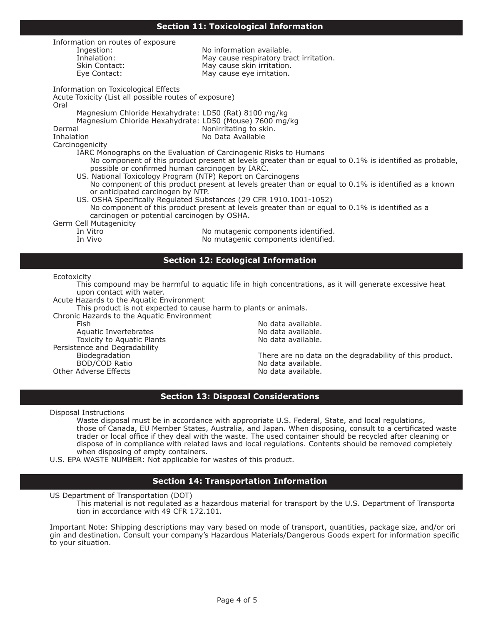### **Section 11: Toxicological Information**

| Information on routes of exposure                           |                                                                                                         |  |  |  |  |
|-------------------------------------------------------------|---------------------------------------------------------------------------------------------------------|--|--|--|--|
| Ingestion:                                                  | No information available.                                                                               |  |  |  |  |
| Inhalation:<br>Skin Contact:                                | May cause respiratory tract irritation.<br>May cause skin irritation.                                   |  |  |  |  |
| Eye Contact:                                                | May cause eye irritation.                                                                               |  |  |  |  |
|                                                             |                                                                                                         |  |  |  |  |
| Information on Toxicological Effects                        |                                                                                                         |  |  |  |  |
| Acute Toxicity (List all possible routes of exposure)       |                                                                                                         |  |  |  |  |
| Oral                                                        |                                                                                                         |  |  |  |  |
| Magnesium Chloride Hexahydrate: LD50 (Rat) 8100 mg/kg       |                                                                                                         |  |  |  |  |
| Magnesium Chloride Hexahydrate: LD50 (Mouse) 7600 mg/kg     |                                                                                                         |  |  |  |  |
| Dermal                                                      | Nonirritating to skin.                                                                                  |  |  |  |  |
| Inhalation                                                  | No Data Available                                                                                       |  |  |  |  |
| Carcinogenicity                                             |                                                                                                         |  |  |  |  |
|                                                             | IARC Monographs on the Evaluation of Carcinogenic Risks to Humans                                       |  |  |  |  |
|                                                             | No component of this product present at levels greater than or equal to 0.1% is identified as probable, |  |  |  |  |
| possible or confirmed human carcinogen by IARC.             |                                                                                                         |  |  |  |  |
| US. National Toxicology Program (NTP) Report on Carcinogens |                                                                                                         |  |  |  |  |
| or anticipated carcinogen by NTP.                           | No component of this product present at levels greater than or equal to 0.1% is identified as a known   |  |  |  |  |
|                                                             | US. OSHA Specifically Regulated Substances (29 CFR 1910.1001-1052)                                      |  |  |  |  |
|                                                             | No component of this product present at levels greater than or equal to 0.1% is identified as a         |  |  |  |  |
| carcinogen or potential carcinogen by OSHA.                 |                                                                                                         |  |  |  |  |
| Germ Cell Mutagenicity                                      |                                                                                                         |  |  |  |  |
| In Vitro                                                    | No mutagenic components identified.                                                                     |  |  |  |  |
| In Vivo                                                     | No mutagenic components identified.                                                                     |  |  |  |  |
|                                                             |                                                                                                         |  |  |  |  |
|                                                             |                                                                                                         |  |  |  |  |
| <b>Section 12: Ecological Information</b>                   |                                                                                                         |  |  |  |  |

#### Ecotoxicity

 This compound may be harmful to aquatic life in high concentrations, as it will generate excessive heat upon contact with water.

 Acute Hazards to the Aquatic Environment

 This product is not expected to cause harm to plants or animals.

 Chronic Hazards to the Aquatic Environment

Aquatic Invertebrates<br>
Toxicity to Aquatic Plants<br>
Toxicity to Aquatic Plants<br>
No data available. Toxicity to Aquatic Plants Persistence and Degradability<br>Biodegradation Other Adverse Effects

No data available.<br>No data available.

Biodegradation **There are no data on the degradability of this product.**<br>BOD/COD Ratio **No data available**. No data available.<br>No data available.

### **Section 13: Disposal Considerations**

 Disposal Instructions

 Waste disposal must be in accordance with appropriate U.S. Federal, State, and local regulations, those of Canada, EU Member States, Australia, and Japan. When disposing, consult to a certificated waste trader or local office if they deal with the waste. The used container should be recycled after cleaning or dispose of in compliance with related laws and local regulations. Contents should be removed completely when disposing of empty containers.

 U.S. EPA WASTE NUMBER: Not applicable for wastes of this product.

## **Section 14: Transportation Information**

 US Department of Transportation (DOT)

 This material is not regulated as a hazardous material for transport by the U.S. Department of Transporta tion in accordance with 49 CFR 172.101.

 Important Note: Shipping descriptions may vary based on mode of transport, quantities, package size, and/or ori gin and destination. Consult your company's Hazardous Materials/Dangerous Goods expert for information specific to your situation.